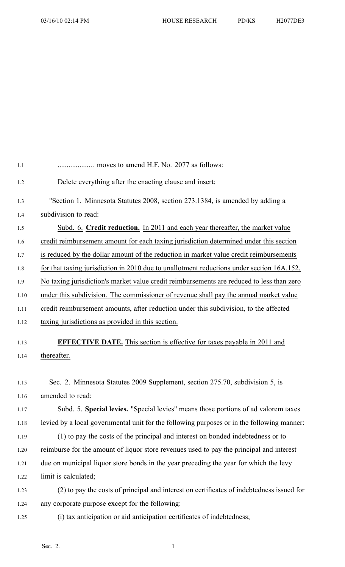| 1.1  |                                                                                            |
|------|--------------------------------------------------------------------------------------------|
| 1.2  | Delete everything after the enacting clause and insert:                                    |
| 1.3  | "Section 1. Minnesota Statutes 2008, section 273.1384, is amended by adding a              |
| 1.4  | subdivision to read:                                                                       |
| 1.5  | Subd. 6. Credit reduction. In 2011 and each year thereafter, the market value              |
| 1.6  | credit reimbursement amount for each taxing jurisdiction determined under this section     |
| 1.7  | is reduced by the dollar amount of the reduction in market value credit reimbursements     |
| 1.8  | for that taxing jurisdiction in 2010 due to unallotment reductions under section 16A.152.  |
| 1.9  | No taxing jurisdiction's market value credit reimbursements are reduced to less than zero  |
| 1.10 | under this subdivision. The commissioner of revenue shall pay the annual market value      |
| 1.11 | credit reimbursement amounts, after reduction under this subdivision, to the affected      |
| 1.12 | taxing jurisdictions as provided in this section.                                          |
| 1.13 | <b>EFFECTIVE DATE.</b> This section is effective for taxes payable in 2011 and             |
| 1.14 | thereafter.                                                                                |
|      |                                                                                            |
| 1.15 | Sec. 2. Minnesota Statutes 2009 Supplement, section 275.70, subdivision 5, is              |
| 1.16 | amended to read:                                                                           |
| 1.17 | Subd. 5. Special levies. "Special levies" means those portions of ad valorem taxes         |
| 1.18 | levied by a local governmental unit for the following purposes or in the following manner: |
| 1.19 | (1) to pay the costs of the principal and interest on bonded indebtedness or to            |
| 1.20 | reimburse for the amount of liquor store revenues used to pay the principal and interest   |
| 1.21 | due on municipal liquor store bonds in the year preceding the year for which the levy      |
| 1.22 | limit is calculated;                                                                       |
| 1.23 | (2) to pay the costs of principal and interest on certificates of indebtedness issued for  |
| 1.24 | any corporate purpose except for the following:                                            |
| 1.25 | (i) tax anticipation or aid anticipation certificates of indebtedness;                     |
|      |                                                                                            |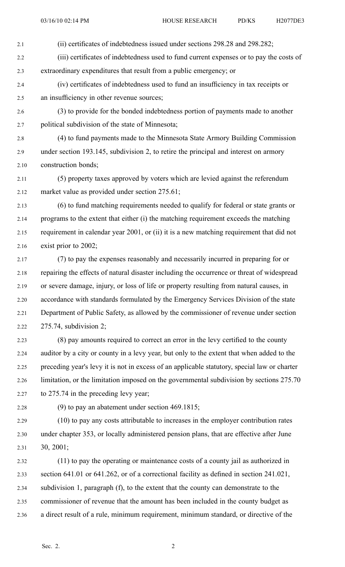2.1 (ii) certificates of indebtedness issued under sections 298.28 and 298.282;

2.2 (iii) certificates of indebtedness used to fund current expenses or to pay the costs of 2.3 extraordinary expenditures that result from <sup>a</sup> public emergency; or

- 2.4 (iv) certificates of indebtedness used to fund an insufficiency in tax receipts or 2.5 an insufficiency in other revenue sources;
- 2.6 (3) to provide for the bonded indebtedness portion of payments made to another 2.7 political subdivision of the state of Minnesota;

2.8 (4) to fund payments made to the Minnesota State Armory Building Commission 2.9 under section 193.145, subdivision 2, to retire the principal and interest on armory 2.10 construction bonds;

2.11 (5) property taxes approved by voters which are levied against the referendum 2.12 market value as provided under section 275.61;

2.13 (6) to fund matching requirements needed to qualify for federal or state grants or 2.14 programs to the extent that either (i) the matching requirement exceeds the matching 2.15 requirement in calendar year 2001, or (ii) it is <sup>a</sup> new matching requirement that did not 2.16 exist prior to 2002;

- 2.17 (7) to pay the expenses reasonably and necessarily incurred in preparing for or 2.18 repairing the effects of natural disaster including the occurrence or threat of widespread 2.19 or severe damage, injury, or loss of life or property resulting from natural causes, in 2.20 accordance with standards formulated by the Emergency Services Division of the state 2.21 Department of Public Safety, as allowed by the commissioner of revenue under section 2.22 275.74, subdivision 2;
- 2.23 (8) pay amounts required to correct an error in the levy certified to the county 2.24 auditor by <sup>a</sup> city or county in <sup>a</sup> levy year, but only to the extent that when added to the 2.25 preceding year's levy it is not in excess of an applicable statutory, special law or charter 2.26 limitation, or the limitation imposed on the governmental subdivision by sections 275.70 2.27 to 275.74 in the preceding levy year;
- 

2.28 (9) to pay an abatement under section 469.1815;

2.29 (10) to pay any costs attributable to increases in the employer contribution rates 2.30 under chapter 353, or locally administered pension plans, that are effective after June 2.31 30, 2001;

2.32 (11) to pay the operating or maintenance costs of <sup>a</sup> county jail as authorized in 2.33 section 641.01 or 641.262, or of <sup>a</sup> correctional facility as defined in section 241.021, 2.34 subdivision 1, paragraph (f), to the extent that the county can demonstrate to the 2.35 commissioner of revenue that the amount has been included in the county budget as 2.36 <sup>a</sup> direct result of <sup>a</sup> rule, minimum requirement, minimum standard, or directive of the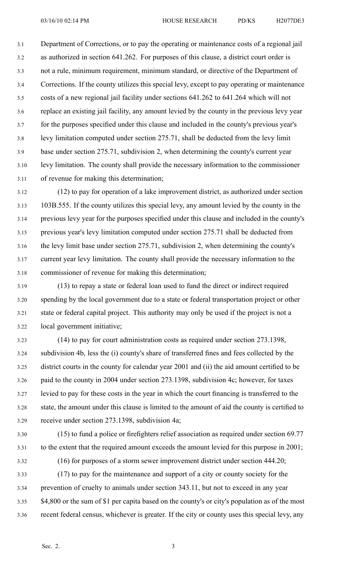3.1 Department of Corrections, or to pay the operating or maintenance costs of <sup>a</sup> regional jail 3.2 as authorized in section 641.262. For purposes of this clause, <sup>a</sup> district court order is 3.3 not <sup>a</sup> rule, minimum requirement, minimum standard, or directive of the Department of 3.4 Corrections. If the county utilizes this special levy, excep<sup>t</sup> to pay operating or maintenance 3.5 costs of <sup>a</sup> new regional jail facility under sections 641.262 to 641.264 which will not 3.6 replace an existing jail facility, any amount levied by the county in the previous levy year 3.7 for the purposes specified under this clause and included in the county's previous year's 3.8 levy limitation computed under section 275.71, shall be deducted from the levy limit 3.9 base under section 275.71, subdivision 2, when determining the county's current year 3.10 levy limitation. The county shall provide the necessary information to the commissioner 3.11 of revenue for making this determination;

3.12 (12) to pay for operation of <sup>a</sup> lake improvement district, as authorized under section 3.13 103B.555. If the county utilizes this special levy, any amount levied by the county in the 3.14 previous levy year for the purposes specified under this clause and included in the county's 3.15 previous year's levy limitation computed under section 275.71 shall be deducted from 3.16 the levy limit base under section 275.71, subdivision 2, when determining the county's 3.17 current year levy limitation. The county shall provide the necessary information to the 3.18 commissioner of revenue for making this determination;

3.19 (13) to repay <sup>a</sup> state or federal loan used to fund the direct or indirect required 3.20 spending by the local governmen<sup>t</sup> due to <sup>a</sup> state or federal transportation project or other 3.21 state or federal capital project. This authority may only be used if the project is not <sup>a</sup> 3.22 local governmen<sup>t</sup> initiative;

3.23 (14) to pay for court administration costs as required under section 273.1398, 3.24 subdivision 4b, less the (i) county's share of transferred fines and fees collected by the 3.25 district courts in the county for calendar year 2001 and (ii) the aid amount certified to be 3.26 paid to the county in 2004 under section 273.1398, subdivision 4c; however, for taxes 3.27 levied to pay for these costs in the year in which the court financing is transferred to the 3.28 state, the amount under this clause is limited to the amount of aid the county is certified to 3.29 receive under section 273.1398, subdivision 4a;

3.30 (15) to fund <sup>a</sup> police or firefighters relief association as required under section 69.77 3.31 to the extent that the required amount exceeds the amount levied for this purpose in 2001;

3.32 (16) for purposes of <sup>a</sup> storm sewer improvement district under section 444.20;

3.33 (17) to pay for the maintenance and suppor<sup>t</sup> of <sup>a</sup> city or county society for the 3.34 prevention of cruelty to animals under section 343.11, but not to exceed in any year 3.35 \$4,800 or the sum of \$1 per capita based on the county's or city's population as of the most 3.36 recent federal census, whichever is greater. If the city or county uses this special levy, any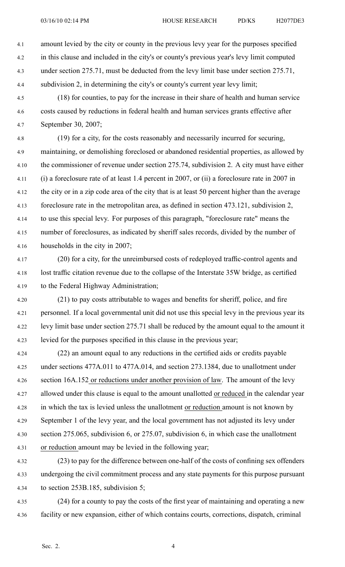- 4.1 amount levied by the city or county in the previous levy year for the purposes specified 4.2 in this clause and included in the city's or county's previous year's levy limit computed 4.3 under section 275.71, must be deducted from the levy limit base under section 275.71, 4.4 subdivision 2, in determining the city's or county's current year levy limit;
- 4.5 (18) for counties, to pay for the increase in their share of health and human service 4.6 costs caused by reductions in federal health and human services grants effective after 4.7 September 30, 2007;

4.8 (19) for <sup>a</sup> city, for the costs reasonably and necessarily incurred for securing, 4.9 maintaining, or demolishing foreclosed or abandoned residential properties, as allowed by 4.10 the commissioner of revenue under section 275.74, subdivision 2. A city must have either 4.11 (i) <sup>a</sup> foreclosure rate of at least 1.4 percen<sup>t</sup> in 2007, or (ii) <sup>a</sup> foreclosure rate in 2007 in 4.12 the city or in <sup>a</sup> zip code area of the city that is at least 50 percen<sup>t</sup> higher than the average 4.13 foreclosure rate in the metropolitan area, as defined in section 473.121, subdivision 2, 4.14 to use this special levy. For purposes of this paragraph, "foreclosure rate" means the 4.15 number of foreclosures, as indicated by sheriff sales records, divided by the number of 4.16 households in the city in 2007;

- 4.17 (20) for <sup>a</sup> city, for the unreimbursed costs of redeployed traffic-control agents and 4.18 lost traffic citation revenue due to the collapse of the Interstate 35W bridge, as certified 4.19 to the Federal Highway Administration;
- 4.20 (21) to pay costs attributable to wages and benefits for sheriff, police, and fire 4.21 personnel. If <sup>a</sup> local governmental unit did not use this special levy in the previous year its 4.22 levy limit base under section 275.71 shall be reduced by the amount equal to the amount it 4.23 levied for the purposes specified in this clause in the previous year;
- 4.24 (22) an amount equal to any reductions in the certified aids or credits payable 4.25 under sections 477A.011 to 477A.014, and section 273.1384, due to unallotment under 4.26 section 16A.152 or reductions under another provision of law. The amount of the levy 4.27 allowed under this clause is equal to the amount unallotted or reduced in the calendar year 4.28 in which the tax is levied unless the unallotment or reduction amount is not known by 4.29 September 1 of the levy year, and the local governmen<sup>t</sup> has not adjusted its levy under 4.30 section 275.065, subdivision 6, or 275.07, subdivision 6, in which case the unallotment 4.31 or reduction amount may be levied in the following year;
- 4.32 (23) to pay for the difference between one-half of the costs of confining sex offenders 4.33 undergoing the civil commitment process and any state payments for this purpose pursuan<sup>t</sup> 4.34 to section 253B.185, subdivision 5;
- 4.35 (24) for <sup>a</sup> county to pay the costs of the first year of maintaining and operating <sup>a</sup> new 4.36 facility or new expansion, either of which contains courts, corrections, dispatch, criminal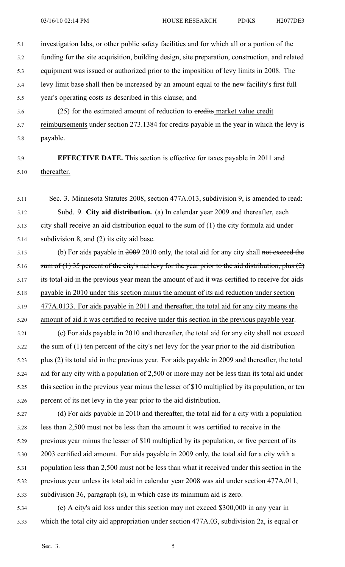5.1 investigation labs, or other public safety facilities and for which all or <sup>a</sup> portion of the

5.2 funding for the site acquisition, building design, site preparation, construction, and related

- 5.3 equipment was issued or authorized prior to the imposition of levy limits in 2008. The
- 5.4 levy limit base shall then be increased by an amount equal to the new facility's first full
- 5.5 year's operating costs as described in this clause; and
- 5.6 (25) for the estimated amount of reduction to eredits market value credit 5.7 reimbursements under section 273.1384 for credits payable in the year in which the levy is 5.8 payable.

## 5.9 **EFFECTIVE DATE.** This section is effective for taxes payable in 2011 and 5.10 thereafter.

- 5.11 Sec. 3. Minnesota Statutes 2008, section 477A.013, subdivision 9, is amended to read: 5.12 Subd. 9. **City aid distribution.** (a) In calendar year 2009 and thereafter, each 5.13 city shall receive an aid distribution equal to the sum of (1) the city formula aid under 5.14 subdivision 8, and (2) its city aid base.
- 5.15 (b) For aids payable in  $\frac{2009}{2010}$  only, the total aid for any city shall not exceed the 5.16 sum of  $(1)$  35 percent of the city's net levy for the year prior to the aid distribution, plus  $(2)$ 5.17 its total aid in the previous year mean the amount of aid it was certified to receive for aids 5.18 payable in 2010 under this section minus the amount of its aid reduction under section 5.19 477A.0133. For aids payable in 2011 and thereafter, the total aid for any city means the 5.20 amount of aid it was certified to receive under this section in the previous payable year.
- 5.21 (c) For aids payable in 2010 and thereafter, the total aid for any city shall not exceed 5.22 the sum of (1) ten percen<sup>t</sup> of the city's net levy for the year prior to the aid distribution 5.23 plus (2) its total aid in the previous year. For aids payable in 2009 and thereafter, the total 5.24 aid for any city with <sup>a</sup> population of 2,500 or more may not be less than its total aid under 5.25 this section in the previous year minus the lesser of \$10 multiplied by its population, or ten 5.26 percen<sup>t</sup> of its net levy in the year prior to the aid distribution.
- 5.27 (d) For aids payable in 2010 and thereafter, the total aid for <sup>a</sup> city with <sup>a</sup> population 5.28 less than 2,500 must not be less than the amount it was certified to receive in the 5.29 previous year minus the lesser of \$10 multiplied by its population, or five percen<sup>t</sup> of its 5.30 2003 certified aid amount. For aids payable in 2009 only, the total aid for <sup>a</sup> city with <sup>a</sup> 5.31 population less than 2,500 must not be less than what it received under this section in the 5.32 previous year unless its total aid in calendar year 2008 was aid under section 477A.011, 5.33 subdivision 36, paragraph (s), in which case its minimum aid is zero.
- 5.34 (e) A city's aid loss under this section may not exceed \$300,000 in any year in 5.35 which the total city aid appropriation under section 477A.03, subdivision 2a, is equal or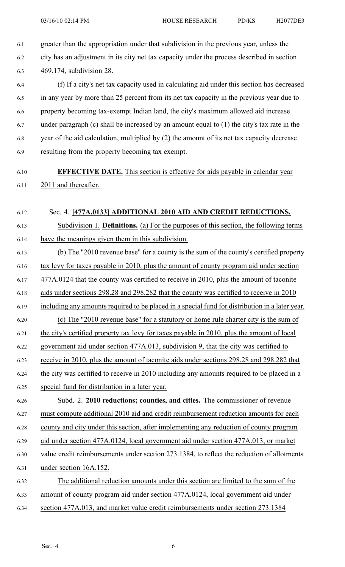6.1 greater than the appropriation under that subdivision in the previous year, unless the 6.2 city has an adjustment in its city net tax capacity under the process described in section 6.3 469.174, subdivision 28.

6.4 (f) If <sup>a</sup> city's net tax capacity used in calculating aid under this section has decreased 6.5 in any year by more than 25 percen<sup>t</sup> from its net tax capacity in the previous year due to 6.6 property becoming tax-exempt Indian land, the city's maximum allowed aid increase 6.7 under paragraph (c) shall be increased by an amount equal to (1) the city's tax rate in the 6.8 year of the aid calculation, multiplied by (2) the amount of its net tax capacity decrease 6.9 resulting from the property becoming tax exempt.

## 6.10 **EFFECTIVE DATE.** This section is effective for aids payable in calendar year 6.11 2011 and thereafter.

6.12 Sec. 4. **[477A.0133] ADDITIONAL 2010 AID AND CREDIT REDUCTIONS.**

6.13 Subdivision 1. **Definitions.** (a) For the purposes of this section, the following terms 6.14 have the meanings given them in this subdivision.

6.15 (b) The "2010 revenue base" for <sup>a</sup> county is the sum of the county's certified property 6.16 tax levy for taxes payable in 2010, plus the amount of county program aid under section 6.17 477A.0124 that the county was certified to receive in 2010, plus the amount of taconite 6.18 aids under sections 298.28 and 298.282 that the county was certified to receive in 2010 6.19 including any amounts required to be placed in <sup>a</sup> special fund for distribution in <sup>a</sup> later year. 6.20 (c) The "2010 revenue base" for <sup>a</sup> statutory or home rule charter city is the sum of 6.21 the city's certified property tax levy for taxes payable in 2010, plus the amount of local 6.22 governmen<sup>t</sup> aid under section 477A.013, subdivision 9, that the city was certified to 6.23 receive in 2010, plus the amount of taconite aids under sections 298.28 and 298.282 that 6.24 the city was certified to receive in 2010 including any amounts required to be placed in <sup>a</sup> 6.25 special fund for distribution in <sup>a</sup> later year. 6.26 Subd. 2. **2010 reductions; counties, and cities.** The commissioner of revenue 6.27 must compute additional 2010 aid and credit reimbursement reduction amounts for each 6.28 county and city under this section, after implementing any reduction of county program 6.29 aid under section 477A.0124, local governmen<sup>t</sup> aid under section 477A.013, or market 6.30 value credit reimbursements under section 273.1384, to reflect the reduction of allotments 6.31 under section 16A.152. 6.32 The additional reduction amounts under this section are limited to the sum of the 6.33 amount of county program aid under section 477A.0124, local governmen<sup>t</sup> aid under

6.34 section 477A.013, and market value credit reimbursements under section 273.1384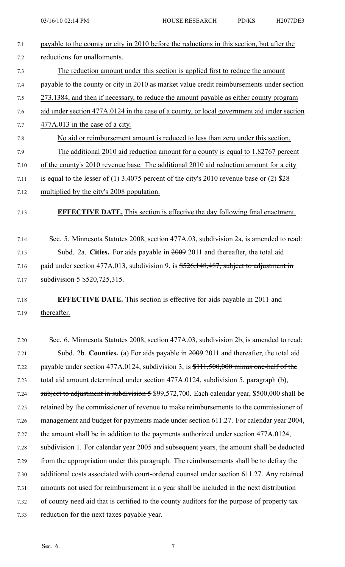| 7.1  | payable to the county or city in 2010 before the reductions in this section, but after the    |
|------|-----------------------------------------------------------------------------------------------|
| 7.2  | reductions for unallotments.                                                                  |
| 7.3  | The reduction amount under this section is applied first to reduce the amount                 |
| 7.4  | payable to the county or city in 2010 as market value credit reimbursements under section     |
| 7.5  | 273.1384, and then if necessary, to reduce the amount payable as either county program        |
| 7.6  | aid under section 477A.0124 in the case of a county, or local government aid under section    |
| 7.7  | $477A.013$ in the case of a city.                                                             |
| 7.8  | No aid or reimbursement amount is reduced to less than zero under this section.               |
| 7.9  | The additional 2010 aid reduction amount for a county is equal to 1.82767 percent             |
| 7.10 | of the county's 2010 revenue base. The additional 2010 aid reduction amount for a city        |
| 7.11 | is equal to the lesser of (1) 3.4075 percent of the city's 2010 revenue base or (2) $$28$     |
| 7.12 | multiplied by the city's 2008 population.                                                     |
| 7.13 | <b>EFFECTIVE DATE.</b> This section is effective the day following final enactment.           |
| 7.14 | Sec. 5. Minnesota Statutes 2008, section 477A.03, subdivision 2a, is amended to read:         |
| 7.15 | Subd. 2a. Cities. For aids payable in $2009$ 2011 and thereafter, the total aid               |
| 7.16 | paid under section 477A.013, subdivision 9, is \$526,148,487, subject to adjustment in        |
| 7.17 | subdivision $5$ \$520,725,315.                                                                |
| 7.18 | <b>EFFECTIVE DATE.</b> This section is effective for aids payable in 2011 and                 |
| 7.19 | thereafter.                                                                                   |
| 7.20 | Sec. 6. Minnesota Statutes 2008, section 477A.03, subdivision 2b, is amended to read:         |
| 7.21 | Subd. 2b. Counties. (a) For aids payable in $\frac{2009}{2011}$ and thereafter, the total aid |
| 7.22 | payable under section 477A.0124, subdivision 3, is $$111,500,000$ minus one-half of the       |
| 7.23 | total aid amount determined under section 477A.0124, subdivision 5, paragraph (b),            |
| 7.24 | subject to adjustment in subdivision 5 \$99,572,700. Each calendar year, \$500,000 shall be   |
| 7.25 | retained by the commissioner of revenue to make reimbursements to the commissioner of         |
| 7.26 | management and budget for payments made under section 611.27. For calendar year 2004,         |
| 7.27 | the amount shall be in addition to the payments authorized under section 477A.0124,           |
| 7.28 | subdivision 1. For calendar year 2005 and subsequent years, the amount shall be deducted      |
| 7.29 | from the appropriation under this paragraph. The reimbursements shall be to defray the        |
| 7.30 | additional costs associated with court-ordered counsel under section 611.27. Any retained     |
| 7.31 | amounts not used for reimbursement in a year shall be included in the next distribution       |
| 7.32 | of county need aid that is certified to the county auditors for the purpose of property tax   |
| 7.33 | reduction for the next taxes payable year.                                                    |